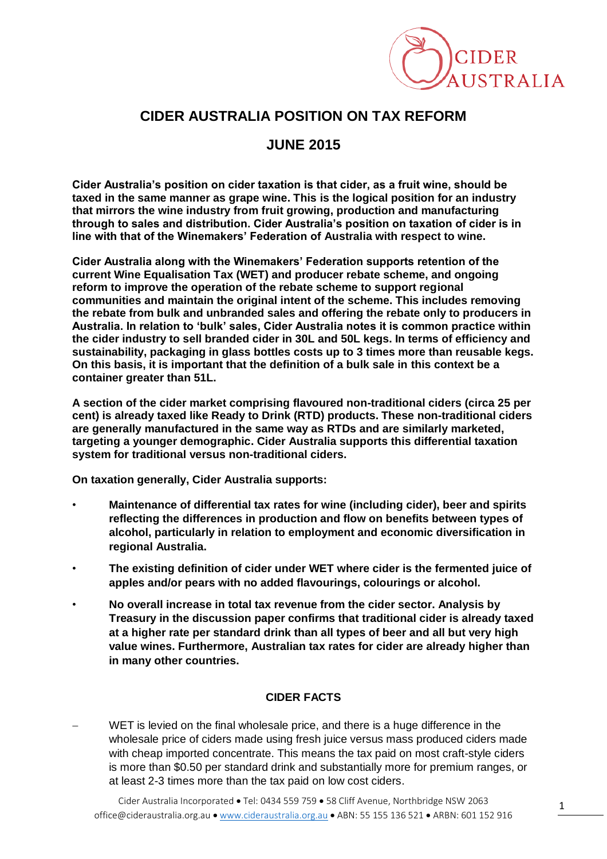

## **CIDER AUSTRALIA POSITION ON TAX REFORM**

## **JUNE 2015**

**Cider Australia's position on cider taxation is that cider, as a fruit wine, should be taxed in the same manner as grape wine. This is the logical position for an industry that mirrors the wine industry from fruit growing, production and manufacturing through to sales and distribution. Cider Australia's position on taxation of cider is in line with that of the Winemakers' Federation of Australia with respect to wine.**

**Cider Australia along with the Winemakers' Federation supports retention of the current Wine Equalisation Tax (WET) and producer rebate scheme, and ongoing reform to improve the operation of the rebate scheme to support regional communities and maintain the original intent of the scheme. This includes removing the rebate from bulk and unbranded sales and offering the rebate only to producers in Australia. In relation to 'bulk' sales, Cider Australia notes it is common practice within the cider industry to sell branded cider in 30L and 50L kegs. In terms of efficiency and sustainability, packaging in glass bottles costs up to 3 times more than reusable kegs. On this basis, it is important that the definition of a bulk sale in this context be a container greater than 51L.** 

**A section of the cider market comprising flavoured non-traditional ciders (circa 25 per cent) is already taxed like Ready to Drink (RTD) products. These non-traditional ciders are generally manufactured in the same way as RTDs and are similarly marketed, targeting a younger demographic. Cider Australia supports this differential taxation system for traditional versus non-traditional ciders.**

**On taxation generally, Cider Australia supports:**

- **Maintenance of differential tax rates for wine (including cider), beer and spirits reflecting the differences in production and flow on benefits between types of alcohol, particularly in relation to employment and economic diversification in regional Australia.**
- **The existing definition of cider under WET where cider is the fermented juice of apples and/or pears with no added flavourings, colourings or alcohol.**
- **No overall increase in total tax revenue from the cider sector. Analysis by Treasury in the discussion paper confirms that traditional cider is already taxed at a higher rate per standard drink than all types of beer and all but very high value wines. Furthermore, Australian tax rates for cider are already higher than in many other countries.**

## **CIDER FACTS**

 WET is levied on the final wholesale price, and there is a huge difference in the wholesale price of ciders made using fresh juice versus mass produced ciders made with cheap imported concentrate. This means the tax paid on most craft-style ciders is more than \$0.50 per standard drink and substantially more for premium ranges, or at least 2-3 times more than the tax paid on low cost ciders.